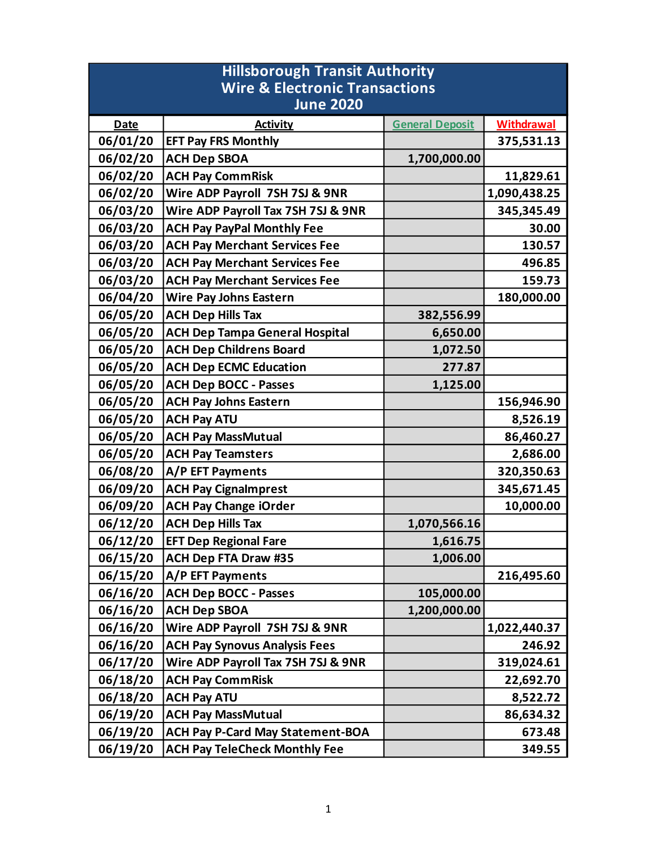| <b>Hillsborough Transit Authority</b>     |                                         |                        |                   |  |
|-------------------------------------------|-----------------------------------------|------------------------|-------------------|--|
| <b>Wire &amp; Electronic Transactions</b> |                                         |                        |                   |  |
|                                           | <b>June 2020</b>                        |                        |                   |  |
| <b>Date</b>                               | <b>Activity</b>                         | <b>General Deposit</b> | <b>Withdrawal</b> |  |
| 06/01/20                                  | <b>EFT Pay FRS Monthly</b>              |                        | 375,531.13        |  |
| 06/02/20                                  | <b>ACH Dep SBOA</b>                     | 1,700,000.00           |                   |  |
| 06/02/20                                  | <b>ACH Pay CommRisk</b>                 |                        | 11,829.61         |  |
| 06/02/20                                  | Wire ADP Payroll 7SH 7SJ & 9NR          |                        | 1,090,438.25      |  |
| 06/03/20                                  | Wire ADP Payroll Tax 7SH 7SJ & 9NR      |                        | 345, 345. 49      |  |
| 06/03/20                                  | <b>ACH Pay PayPal Monthly Fee</b>       |                        | 30.00             |  |
| 06/03/20                                  | <b>ACH Pay Merchant Services Fee</b>    |                        | 130.57            |  |
| 06/03/20                                  | <b>ACH Pay Merchant Services Fee</b>    |                        | 496.85            |  |
| 06/03/20                                  | <b>ACH Pay Merchant Services Fee</b>    |                        | 159.73            |  |
| 06/04/20                                  | <b>Wire Pay Johns Eastern</b>           |                        | 180,000.00        |  |
| 06/05/20                                  | <b>ACH Dep Hills Tax</b>                | 382,556.99             |                   |  |
| 06/05/20                                  | <b>ACH Dep Tampa General Hospital</b>   | 6,650.00               |                   |  |
| 06/05/20                                  | <b>ACH Dep Childrens Board</b>          | 1,072.50               |                   |  |
| 06/05/20                                  | <b>ACH Dep ECMC Education</b>           | 277.87                 |                   |  |
| 06/05/20                                  | <b>ACH Dep BOCC - Passes</b>            | 1,125.00               |                   |  |
| 06/05/20                                  | <b>ACH Pay Johns Eastern</b>            |                        | 156,946.90        |  |
| 06/05/20                                  | <b>ACH Pay ATU</b>                      |                        | 8,526.19          |  |
| 06/05/20                                  | <b>ACH Pay MassMutual</b>               |                        | 86,460.27         |  |
| 06/05/20                                  | <b>ACH Pay Teamsters</b>                |                        | 2,686.00          |  |
| 06/08/20                                  | A/P EFT Payments                        |                        | 320,350.63        |  |
| 06/09/20                                  | <b>ACH Pay Cignalmprest</b>             |                        | 345,671.45        |  |
| 06/09/20                                  | <b>ACH Pay Change iOrder</b>            |                        | 10,000.00         |  |
| 06/12/20                                  | <b>ACH Dep Hills Tax</b>                | 1,070,566.16           |                   |  |
| 06/12/20                                  | <b>EFT Dep Regional Fare</b>            | 1,616.75               |                   |  |
| 06/15/20                                  | <b>ACH Dep FTA Draw #35</b>             | 1,006.00               |                   |  |
| 06/15/20                                  | A/P EFT Payments                        |                        | 216,495.60        |  |
| 06/16/20                                  | <b>ACH Dep BOCC - Passes</b>            | 105,000.00             |                   |  |
| 06/16/20                                  | <b>ACH Dep SBOA</b>                     | 1,200,000.00           |                   |  |
| 06/16/20                                  | Wire ADP Payroll 7SH 7SJ & 9NR          |                        | 1,022,440.37      |  |
| 06/16/20                                  | <b>ACH Pay Synovus Analysis Fees</b>    |                        | 246.92            |  |
| 06/17/20                                  | Wire ADP Payroll Tax 7SH 7SJ & 9NR      |                        | 319,024.61        |  |
| 06/18/20                                  | <b>ACH Pay CommRisk</b>                 |                        | 22,692.70         |  |
| 06/18/20                                  | <b>ACH Pay ATU</b>                      |                        | 8,522.72          |  |
| 06/19/20                                  | <b>ACH Pay MassMutual</b>               |                        | 86,634.32         |  |
| 06/19/20                                  | <b>ACH Pay P-Card May Statement-BOA</b> |                        | 673.48            |  |
| 06/19/20                                  | <b>ACH Pay TeleCheck Monthly Fee</b>    |                        | 349.55            |  |